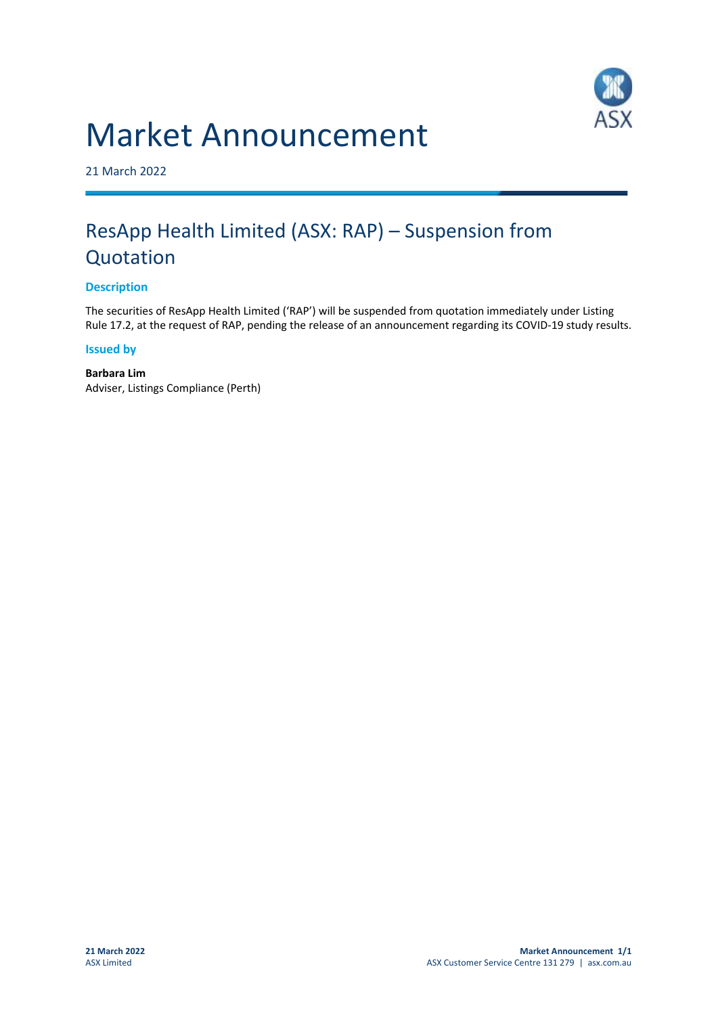# Market Announcement



21 March 2022

# ResApp Health Limited (ASX: RAP) – Suspension from Quotation

## **Description**

The securities of ResApp Health Limited ('RAP') will be suspended from quotation immediately under Listing Rule 17.2, at the request of RAP, pending the release of an announcement regarding its COVID-19 study results.

#### **Issued by**

**Barbara Lim** Adviser, Listings Compliance (Perth)